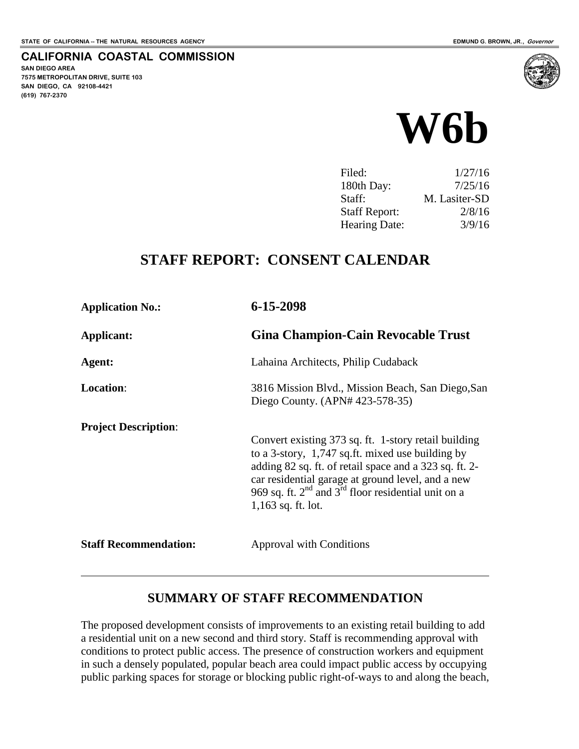**SAN DIEGO AREA**

**(619) 767-2370**

**7575 METROPOLITAN DRIVE, SUITE 103 SAN DIEGO, CA 92108-4421**

**CALIFORNIA COASTAL COMMISSION**



| 1/27/16       |
|---------------|
| 7/25/16       |
| M. Lasiter-SD |
| 2/8/16        |
| 3/9/16        |
|               |

## **STAFF REPORT: CONSENT CALENDAR**

| <b>Application No.:</b>      | 6-15-2098                                                                                                                                                                                                                                                                                                        |
|------------------------------|------------------------------------------------------------------------------------------------------------------------------------------------------------------------------------------------------------------------------------------------------------------------------------------------------------------|
| Applicant:                   | <b>Gina Champion-Cain Revocable Trust</b>                                                                                                                                                                                                                                                                        |
| Agent:                       | Lahaina Architects, Philip Cudaback                                                                                                                                                                                                                                                                              |
| <b>Location:</b>             | 3816 Mission Blvd., Mission Beach, San Diego, San<br>Diego County. (APN# 423-578-35)                                                                                                                                                                                                                             |
| <b>Project Description:</b>  | Convert existing 373 sq. ft. 1-story retail building<br>to a 3-story, 1,747 sq.ft. mixed use building by<br>adding 82 sq. ft. of retail space and a 323 sq. ft. 2-<br>car residential garage at ground level, and a new<br>969 sq. ft. $2^{nd}$ and $3^{rd}$ floor residential unit on a<br>$1,163$ sq. ft. lot. |
| <b>Staff Recommendation:</b> | <b>Approval with Conditions</b>                                                                                                                                                                                                                                                                                  |

#### **SUMMARY OF STAFF RECOMMENDATION**

The proposed development consists of improvements to an existing retail building to add a residential unit on a new second and third story. Staff is recommending approval with conditions to protect public access. The presence of construction workers and equipment in such a densely populated, popular beach area could impact public access by occupying public parking spaces for storage or blocking public right-of-ways to and along the beach,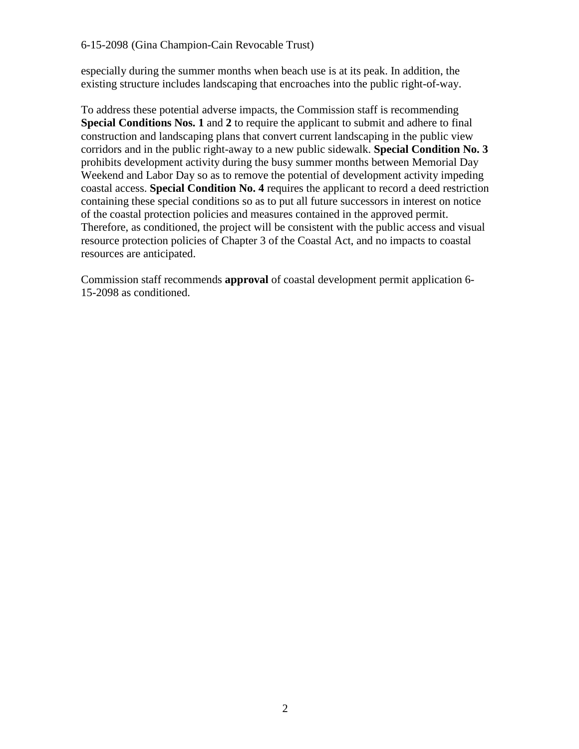especially during the summer months when beach use is at its peak. In addition, the existing structure includes landscaping that encroaches into the public right-of-way.

To address these potential adverse impacts, the Commission staff is recommending **Special Conditions Nos. 1** and **2** to require the applicant to submit and adhere to final construction and landscaping plans that convert current landscaping in the public view corridors and in the public right-away to a new public sidewalk. **Special Condition No. 3** prohibits development activity during the busy summer months between Memorial Day Weekend and Labor Day so as to remove the potential of development activity impeding coastal access. **Special Condition No. 4** requires the applicant to record a deed restriction containing these special conditions so as to put all future successors in interest on notice of the coastal protection policies and measures contained in the approved permit. Therefore, as conditioned, the project will be consistent with the public access and visual resource protection policies of Chapter 3 of the Coastal Act, and no impacts to coastal resources are anticipated.

Commission staff recommends **approval** of coastal development permit application 6- 15-2098 as conditioned.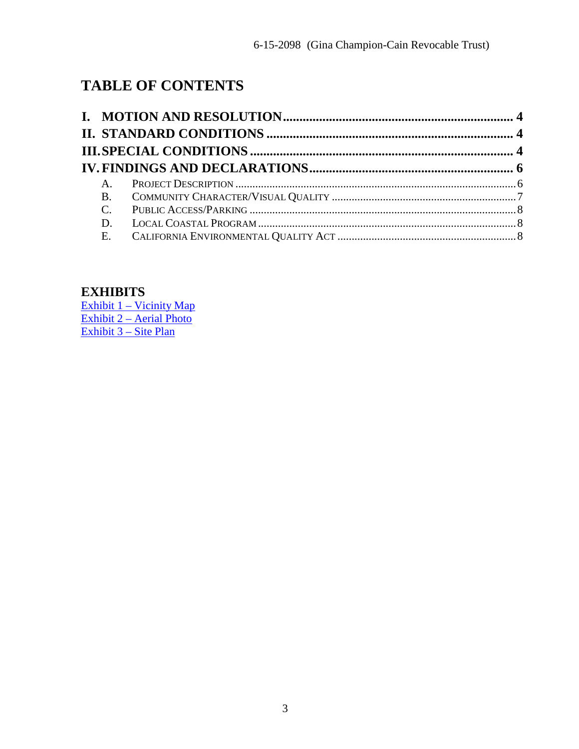# **TABLE OF CONTENTS**

| $A_{1}$ |  |
|---------|--|
|         |  |
|         |  |
|         |  |
|         |  |
|         |  |

#### **EXHIBITS**

[Exhibit 1 – Vicinity Map](#page-8-0) [Exhibit 2 – Aerial Photo](#page-9-0) [Exhibit 3 – Site Plan](#page-10-0)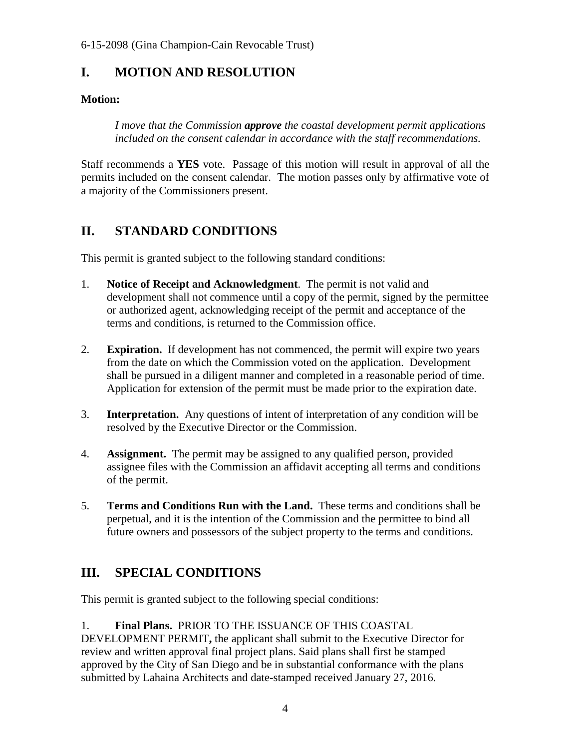## <span id="page-3-0"></span>**I. MOTION AND RESOLUTION**

#### **Motion:**

*I move that the Commission approve the coastal development permit applications included on the consent calendar in accordance with the staff recommendations.* 

Staff recommends a **YES** vote. Passage of this motion will result in approval of all the permits included on the consent calendar. The motion passes only by affirmative vote of a majority of the Commissioners present.

## <span id="page-3-1"></span>**II. STANDARD CONDITIONS**

This permit is granted subject to the following standard conditions:

- 1. **Notice of Receipt and Acknowledgment**. The permit is not valid and development shall not commence until a copy of the permit, signed by the permittee or authorized agent, acknowledging receipt of the permit and acceptance of the terms and conditions, is returned to the Commission office.
- 2. **Expiration.** If development has not commenced, the permit will expire two years from the date on which the Commission voted on the application. Development shall be pursued in a diligent manner and completed in a reasonable period of time. Application for extension of the permit must be made prior to the expiration date.
- 3. **Interpretation.** Any questions of intent of interpretation of any condition will be resolved by the Executive Director or the Commission.
- 4. **Assignment.** The permit may be assigned to any qualified person, provided assignee files with the Commission an affidavit accepting all terms and conditions of the permit.
- 5. **Terms and Conditions Run with the Land.** These terms and conditions shall be perpetual, and it is the intention of the Commission and the permittee to bind all future owners and possessors of the subject property to the terms and conditions.

## <span id="page-3-2"></span>**III. SPECIAL CONDITIONS**

This permit is granted subject to the following special conditions:

1. **Final Plans.** PRIOR TO THE ISSUANCE OF THIS COASTAL DEVELOPMENT PERMIT**,** the applicant shall submit to the Executive Director for review and written approval final project plans. Said plans shall first be stamped approved by the City of San Diego and be in substantial conformance with the plans submitted by Lahaina Architects and date-stamped received January 27, 2016.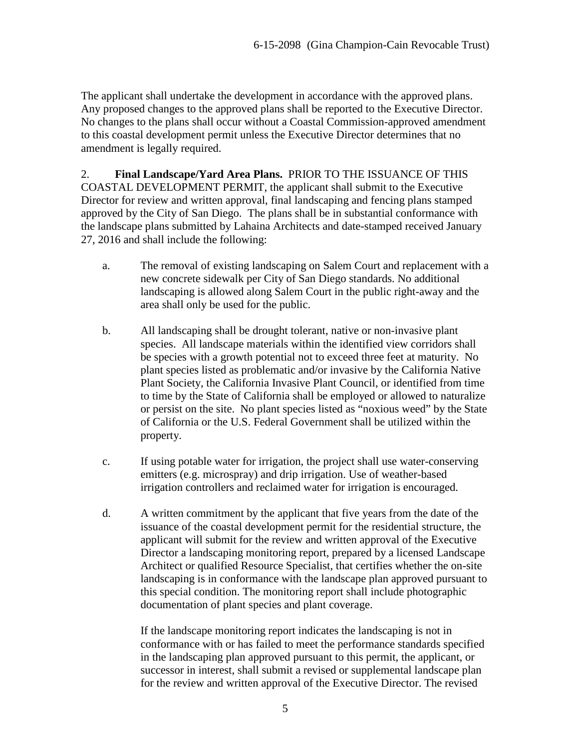The applicant shall undertake the development in accordance with the approved plans. Any proposed changes to the approved plans shall be reported to the Executive Director. No changes to the plans shall occur without a Coastal Commission-approved amendment to this coastal development permit unless the Executive Director determines that no amendment is legally required.

2. **Final Landscape/Yard Area Plans.** PRIOR TO THE ISSUANCE OF THIS COASTAL DEVELOPMENT PERMIT, the applicant shall submit to the Executive Director for review and written approval, final landscaping and fencing plans stamped approved by the City of San Diego. The plans shall be in substantial conformance with the landscape plans submitted by Lahaina Architects and date-stamped received January 27, 2016 and shall include the following:

- a. The removal of existing landscaping on Salem Court and replacement with a new concrete sidewalk per City of San Diego standards. No additional landscaping is allowed along Salem Court in the public right-away and the area shall only be used for the public.
- b. All landscaping shall be drought tolerant, native or non-invasive plant species. All landscape materials within the identified view corridors shall be species with a growth potential not to exceed three feet at maturity. No plant species listed as problematic and/or invasive by the California Native Plant Society, the California Invasive Plant Council, or identified from time to time by the State of California shall be employed or allowed to naturalize or persist on the site. No plant species listed as "noxious weed" by the State of California or the U.S. Federal Government shall be utilized within the property.
- c. If using potable water for irrigation, the project shall use water-conserving emitters (e.g. microspray) and drip irrigation. Use of weather-based irrigation controllers and reclaimed water for irrigation is encouraged.
- d. A written commitment by the applicant that five years from the date of the issuance of the coastal development permit for the residential structure, the applicant will submit for the review and written approval of the Executive Director a landscaping monitoring report, prepared by a licensed Landscape Architect or qualified Resource Specialist, that certifies whether the on-site landscaping is in conformance with the landscape plan approved pursuant to this special condition. The monitoring report shall include photographic documentation of plant species and plant coverage.

If the landscape monitoring report indicates the landscaping is not in conformance with or has failed to meet the performance standards specified in the landscaping plan approved pursuant to this permit, the applicant, or successor in interest, shall submit a revised or supplemental landscape plan for the review and written approval of the Executive Director. The revised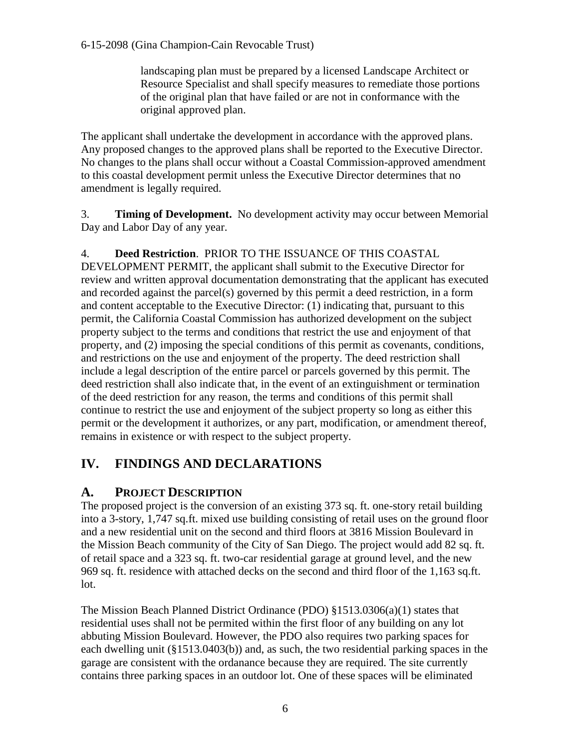landscaping plan must be prepared by a licensed Landscape Architect or Resource Specialist and shall specify measures to remediate those portions of the original plan that have failed or are not in conformance with the original approved plan.

The applicant shall undertake the development in accordance with the approved plans. Any proposed changes to the approved plans shall be reported to the Executive Director. No changes to the plans shall occur without a Coastal Commission-approved amendment to this coastal development permit unless the Executive Director determines that no amendment is legally required.

3. **Timing of Development.** No development activity may occur between Memorial Day and Labor Day of any year.

#### 4. **Deed Restriction**. PRIOR TO THE ISSUANCE OF THIS COASTAL

DEVELOPMENT PERMIT, the applicant shall submit to the Executive Director for review and written approval documentation demonstrating that the applicant has executed and recorded against the parcel(s) governed by this permit a deed restriction, in a form and content acceptable to the Executive Director: (1) indicating that, pursuant to this permit, the California Coastal Commission has authorized development on the subject property subject to the terms and conditions that restrict the use and enjoyment of that property, and (2) imposing the special conditions of this permit as covenants, conditions, and restrictions on the use and enjoyment of the property. The deed restriction shall include a legal description of the entire parcel or parcels governed by this permit. The deed restriction shall also indicate that, in the event of an extinguishment or termination of the deed restriction for any reason, the terms and conditions of this permit shall continue to restrict the use and enjoyment of the subject property so long as either this permit or the development it authorizes, or any part, modification, or amendment thereof, remains in existence or with respect to the subject property.

## <span id="page-5-0"></span>**IV. FINDINGS AND DECLARATIONS**

#### <span id="page-5-1"></span>**A. PROJECT DESCRIPTION**

The proposed project is the conversion of an existing 373 sq. ft. one-story retail building into a 3-story, 1,747 sq.ft. mixed use building consisting of retail uses on the ground floor and a new residential unit on the second and third floors at 3816 Mission Boulevard in the Mission Beach community of the City of San Diego. The project would add 82 sq. ft. of retail space and a 323 sq. ft. two-car residential garage at ground level, and the new 969 sq. ft. residence with attached decks on the second and third floor of the 1,163 sq.ft. lot.

The Mission Beach Planned District Ordinance (PDO) §1513.0306(a)(1) states that residential uses shall not be permited within the first floor of any building on any lot abbuting Mission Boulevard. However, the PDO also requires two parking spaces for each dwelling unit (§1513.0403(b)) and, as such, the two residential parking spaces in the garage are consistent with the ordanance because they are required. The site currently contains three parking spaces in an outdoor lot. One of these spaces will be eliminated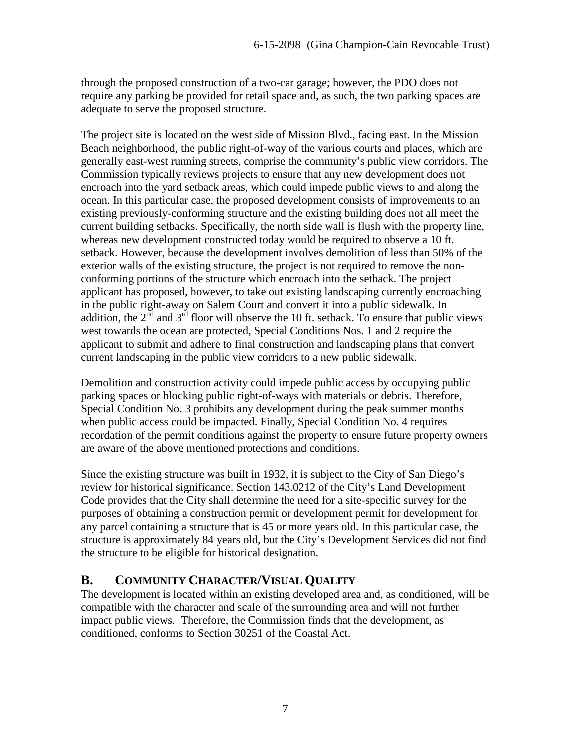through the proposed construction of a two-car garage; however, the PDO does not require any parking be provided for retail space and, as such, the two parking spaces are adequate to serve the proposed structure.

The project site is located on the west side of Mission Blvd., facing east. In the Mission Beach neighborhood, the public right-of-way of the various courts and places, which are generally east-west running streets, comprise the community's public view corridors. The Commission typically reviews projects to ensure that any new development does not encroach into the yard setback areas, which could impede public views to and along the ocean. In this particular case, the proposed development consists of improvements to an existing previously-conforming structure and the existing building does not all meet the current building setbacks. Specifically, the north side wall is flush with the property line, whereas new development constructed today would be required to observe a 10 ft. setback. However, because the development involves demolition of less than 50% of the exterior walls of the existing structure, the project is not required to remove the nonconforming portions of the structure which encroach into the setback. The project applicant has proposed, however, to take out existing landscaping currently encroaching in the public right-away on Salem Court and convert it into a public sidewalk. In addition, the  $2<sup>nd</sup>$  and  $3<sup>rd</sup>$  floor will observe the 10 ft. setback. To ensure that public views west towards the ocean are protected, Special Conditions Nos. 1 and 2 require the applicant to submit and adhere to final construction and landscaping plans that convert current landscaping in the public view corridors to a new public sidewalk.

Demolition and construction activity could impede public access by occupying public parking spaces or blocking public right-of-ways with materials or debris. Therefore, Special Condition No. 3 prohibits any development during the peak summer months when public access could be impacted. Finally, Special Condition No. 4 requires recordation of the permit conditions against the property to ensure future property owners are aware of the above mentioned protections and conditions.

Since the existing structure was built in 1932, it is subject to the City of San Diego's review for historical significance. Section 143.0212 of the City's Land Development Code provides that the City shall determine the need for a site-specific survey for the purposes of obtaining a construction permit or development permit for development for any parcel containing a structure that is 45 or more years old. In this particular case, the structure is approximately 84 years old, but the City's Development Services did not find the structure to be eligible for historical designation.

#### <span id="page-6-0"></span>**B. COMMUNITY CHARACTER/VISUAL QUALITY**

The development is located within an existing developed area and, as conditioned, will be compatible with the character and scale of the surrounding area and will not further impact public views. Therefore, the Commission finds that the development, as conditioned, conforms to Section 30251 of the Coastal Act.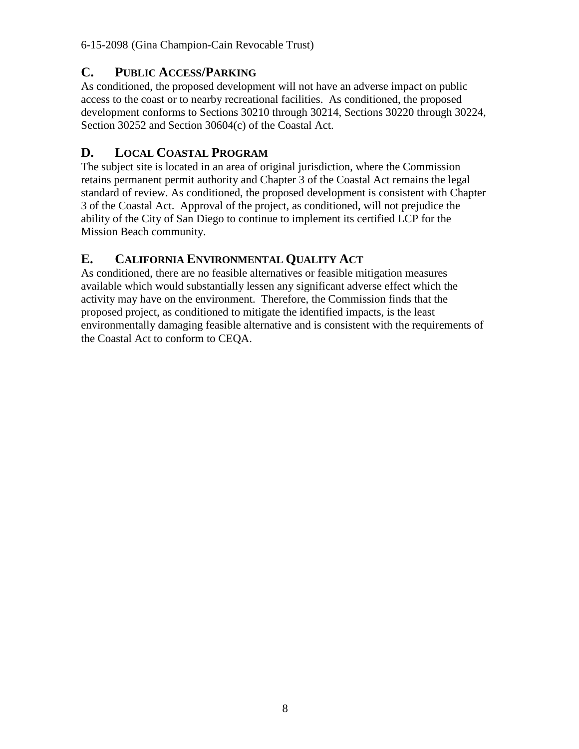### <span id="page-7-0"></span>**C. PUBLIC ACCESS/PARKING**

As conditioned, the proposed development will not have an adverse impact on public access to the coast or to nearby recreational facilities. As conditioned, the proposed development conforms to Sections 30210 through 30214, Sections 30220 through 30224, Section 30252 and Section 30604(c) of the Coastal Act.

## <span id="page-7-1"></span>**D. LOCAL COASTAL PROGRAM**

The subject site is located in an area of original jurisdiction, where the Commission retains permanent permit authority and Chapter 3 of the Coastal Act remains the legal standard of review. As conditioned, the proposed development is consistent with Chapter 3 of the Coastal Act. Approval of the project, as conditioned, will not prejudice the ability of the City of San Diego to continue to implement its certified LCP for the Mission Beach community.

## <span id="page-7-2"></span>**E. CALIFORNIA ENVIRONMENTAL QUALITY ACT**

As conditioned, there are no feasible alternatives or feasible mitigation measures available which would substantially lessen any significant adverse effect which the activity may have on the environment. Therefore, the Commission finds that the proposed project, as conditioned to mitigate the identified impacts, is the least environmentally damaging feasible alternative and is consistent with the requirements of the Coastal Act to conform to CEQA.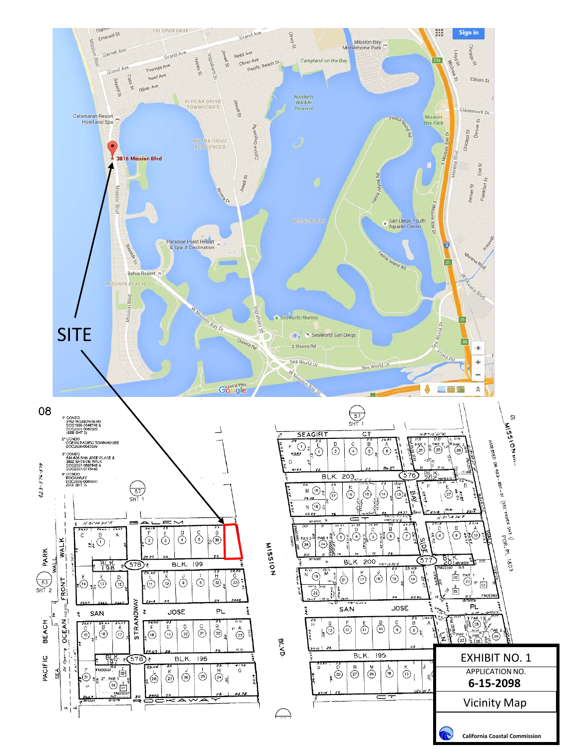<span id="page-8-0"></span>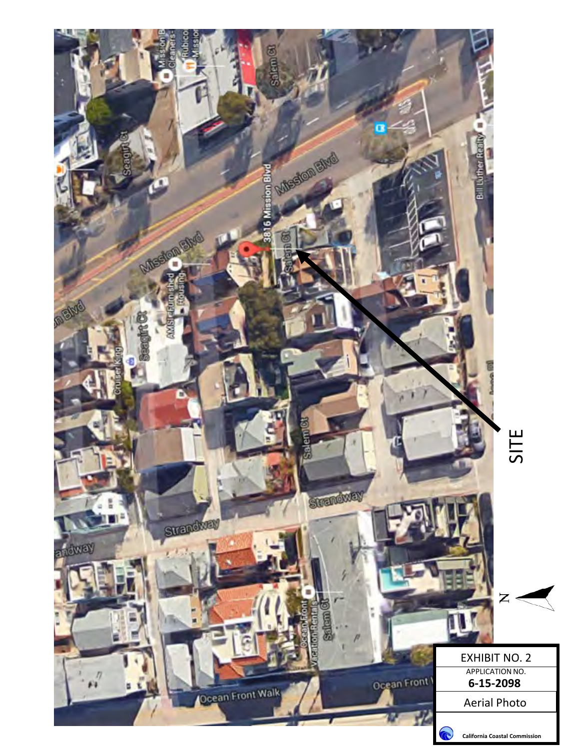<span id="page-9-0"></span>